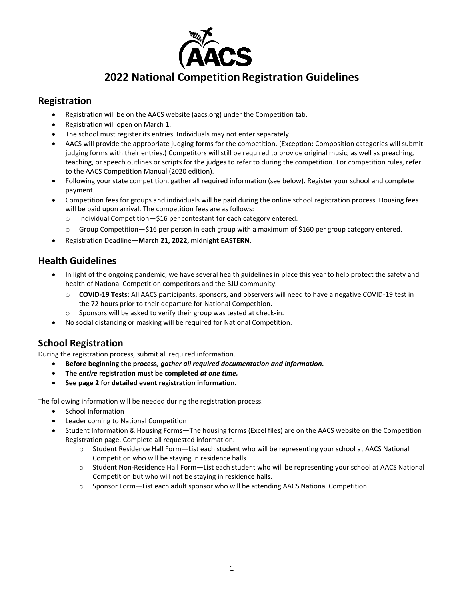

# **2022 National Competition Registration Guidelines**

## **Registration**

- Registration will be on the AACS website (aacs.org) under the Competition tab.
- Registration will open on March 1.
- The school must register its entries. Individuals may not enter separately.
- AACS will provide the appropriate judging forms for the competition. (Exception: Composition categories will submit judging forms with their entries.) Competitors will still be required to provide original music, as well as preaching, teaching, or speech outlines or scripts for the judges to refer to during the competition. For competition rules, refer to the AACS Competition Manual (2020 edition).
- Following your state competition, gather all required information (see below). Register your school and complete payment.
- Competition fees for groups and individuals will be paid during the online school registration process. Housing fees will be paid upon arrival. The competition fees are as follows:
	- o Individual Competition—\$16 per contestant for each category entered.
	- o Group Competition—\$16 per person in each group with a maximum of \$160 per group category entered.
- Registration Deadline—**March 21, 2022, midnight EASTERN.**

# **Health Guidelines**

- In light of the ongoing pandemic, we have several health guidelines in place this year to help protect the safety and health of National Competition competitors and the BJU community.
	- o **COVID-19 Tests:** All AACS participants, sponsors, and observers will need to have a negative COVID-19 test in the 72 hours prior to their departure for National Competition.
	- o Sponsors will be asked to verify their group was tested at check-in.
- No social distancing or masking will be required for National Competition.

# **School Registration**

During the registration process, submit all required information.

- **Before beginning the process***, gather all required documentation and information.*
- **The** *entire* **registration must be completed** *at one time.*
- **See page 2 for detailed event registration information.**

The following information will be needed during the registration process.

- School Information
- Leader coming to National Competition
- Student Information & Housing Forms—The housing forms (Excel files) are on the AACS website on the Competition Registration page. Complete all requested information.
	- o Student Residence Hall Form—List each student who will be representing your school at AACS National Competition who will be staying in residence halls.
	- o Student Non-Residence Hall Form—List each student who will be representing your school at AACS National Competition but who will not be staying in residence halls.
	- o Sponsor Form—List each adult sponsor who will be attending AACS National Competition.